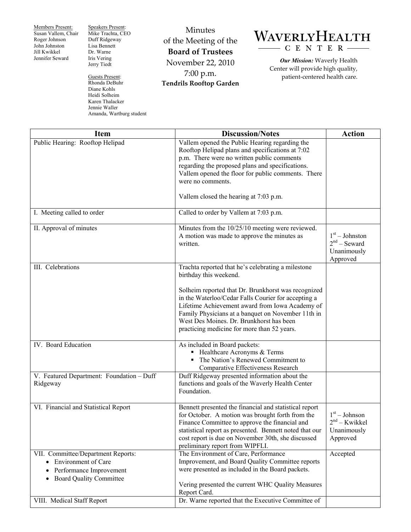Members Present: Susan Vallem, Chair Roger Johnson John Johnston Jill Kwikkel Jennifer Seward

Speakers Present: Mike Trachta, CEO Duff Ridgeway Lisa Bennett Dr. Warne Iris Vering Jerry Tiedt

Guests Present: Rhonda DeBuhr Diane Kohls Heidi Solheim Karen Thalacker Jennie Waller Amanda, Wartburg student

Minutes of the Meeting of the **Board of Trustees**  November 22, 2010 7:00 p.m. **Tendrils Rooftop Garden** 

## WAVERLYHEALTH - C E N T E R

*Our Mission:* Waverly Health Center will provide high quality, patient-centered health care.

| <b>Item</b>                                                                                                                                                  | <b>Discussion/Notes</b>                                                                                                                                                                                                                                                                                          | <b>Action</b>                                                 |
|--------------------------------------------------------------------------------------------------------------------------------------------------------------|------------------------------------------------------------------------------------------------------------------------------------------------------------------------------------------------------------------------------------------------------------------------------------------------------------------|---------------------------------------------------------------|
| Public Hearing: Rooftop Helipad                                                                                                                              | Vallem opened the Public Hearing regarding the<br>Rooftop Helipad plans and specifications at 7:02<br>p.m. There were no written public comments<br>regarding the proposed plans and specifications.<br>Vallem opened the floor for public comments. There<br>were no comments.                                  |                                                               |
|                                                                                                                                                              | Vallem closed the hearing at 7:03 p.m.                                                                                                                                                                                                                                                                           |                                                               |
| I. Meeting called to order                                                                                                                                   | Called to order by Vallem at 7:03 p.m.                                                                                                                                                                                                                                                                           |                                                               |
| II. Approval of minutes                                                                                                                                      | Minutes from the 10/25/10 meeting were reviewed.<br>A motion was made to approve the minutes as<br>written.                                                                                                                                                                                                      | $1st - Johnston$<br>$2nd$ – Seward<br>Unanimously<br>Approved |
| III. Celebrations                                                                                                                                            | Trachta reported that he's celebrating a milestone<br>birthday this weekend.<br>Solheim reported that Dr. Brunkhorst was recognized<br>in the Waterloo/Cedar Falls Courier for accepting a                                                                                                                       |                                                               |
|                                                                                                                                                              | Lifetime Achievement award from Iowa Academy of<br>Family Physicians at a banquet on November 11th in<br>West Des Moines. Dr. Brunkhorst has been<br>practicing medicine for more than 52 years.                                                                                                                 |                                                               |
| IV. Board Education                                                                                                                                          | As included in Board packets:<br>• Healthcare Acronyms & Terms<br>The Nation's Renewed Commitment to<br>Comparative Effectiveness Research                                                                                                                                                                       |                                                               |
| V. Featured Department: Foundation - Duff<br>Ridgeway                                                                                                        | Duff Ridgeway presented information about the<br>functions and goals of the Waverly Health Center<br>Foundation.                                                                                                                                                                                                 |                                                               |
| VI. Financial and Statistical Report                                                                                                                         | Bennett presented the financial and statistical report<br>for October. A motion was brought forth from the<br>Finance Committee to approve the financial and<br>statistical report as presented. Bennett noted that our<br>cost report is due on November 30th, she discussed<br>preliminary report from WIPFLI. | $1st - Johnson$<br>$2nd - Kwikkel$<br>Unanimously<br>Approved |
| VII. Committee/Department Reports:<br><b>Environment of Care</b><br>$\bullet$<br>Performance Improvement<br>$\bullet$<br><b>Board Quality Committee</b><br>٠ | The Environment of Care, Performance<br>Improvement, and Board Quality Committee reports<br>were presented as included in the Board packets.<br>Vering presented the current WHC Quality Measures<br>Report Card.                                                                                                | Accepted                                                      |
| VIII. Medical Staff Report                                                                                                                                   | Dr. Warne reported that the Executive Committee of                                                                                                                                                                                                                                                               |                                                               |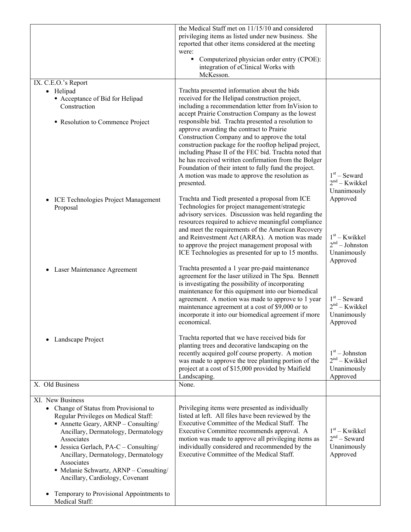|                                                                                                                                                                                                                                                                                                                                                                                                                                                           | the Medical Staff met on 11/15/10 and considered<br>privileging items as listed under new business. She<br>reported that other items considered at the meeting                                                                                                                                                                                                                                     |                                                                |
|-----------------------------------------------------------------------------------------------------------------------------------------------------------------------------------------------------------------------------------------------------------------------------------------------------------------------------------------------------------------------------------------------------------------------------------------------------------|----------------------------------------------------------------------------------------------------------------------------------------------------------------------------------------------------------------------------------------------------------------------------------------------------------------------------------------------------------------------------------------------------|----------------------------------------------------------------|
|                                                                                                                                                                                                                                                                                                                                                                                                                                                           | were:<br>Computerized physician order entry (CPOE):<br>П<br>integration of eClinical Works with<br>McKesson.                                                                                                                                                                                                                                                                                       |                                                                |
| IX. C.E.O.'s Report                                                                                                                                                                                                                                                                                                                                                                                                                                       |                                                                                                                                                                                                                                                                                                                                                                                                    |                                                                |
| • Helipad<br>Acceptance of Bid for Helipad<br>Construction<br>Resolution to Commence Project                                                                                                                                                                                                                                                                                                                                                              | Trachta presented information about the bids<br>received for the Helipad construction project,<br>including a recommendation letter from InVision to<br>accept Prairie Construction Company as the lowest<br>responsible bid. Trachta presented a resolution to<br>approve awarding the contract to Prairie                                                                                        |                                                                |
|                                                                                                                                                                                                                                                                                                                                                                                                                                                           | Construction Company and to approve the total<br>construction package for the rooftop helipad project,<br>including Phase II of the FEC bid. Trachta noted that<br>he has received written confirmation from the Bolger<br>Foundation of their intent to fully fund the project.<br>A motion was made to approve the resolution as<br>presented.                                                   | $1st$ – Seward<br>$2nd - Kwikkel$<br>Unanimously               |
| ICE Technologies Project Management<br>Proposal                                                                                                                                                                                                                                                                                                                                                                                                           | Trachta and Tiedt presented a proposal from ICE<br>Technologies for project management/strategic<br>advisory services. Discussion was held regarding the<br>resources required to achieve meaningful compliance<br>and meet the requirements of the American Recovery<br>and Reinvestment Act (ARRA). A motion was made                                                                            | Approved<br>$1st - Kwikkel$                                    |
|                                                                                                                                                                                                                                                                                                                                                                                                                                                           | to approve the project management proposal with<br>ICE Technologies as presented for up to 15 months.                                                                                                                                                                                                                                                                                              | $2nd - Johnston$<br>Unanimously<br>Approved                    |
| Laser Maintenance Agreement<br>$\bullet$                                                                                                                                                                                                                                                                                                                                                                                                                  | Trachta presented a 1 year pre-paid maintenance<br>agreement for the laser utilized in The Spa. Bennett<br>is investigating the possibility of incorporating<br>maintenance for this equipment into our biomedical<br>agreement. A motion was made to approve to 1 year<br>maintenance agreement at a cost of \$9,000 or to<br>incorporate it into our biomedical agreement if more<br>economical. | $1st$ – Seward<br>$2nd - Kwikkel$<br>Unanimously<br>Approved   |
| Landscape Project                                                                                                                                                                                                                                                                                                                                                                                                                                         | Trachta reported that we have received bids for<br>planting trees and decorative landscaping on the<br>recently acquired golf course property. A motion<br>was made to approve the tree planting portion of the<br>project at a cost of \$15,000 provided by Maifield<br>Landscaping.                                                                                                              | $1st - Johnston$<br>$2nd - Kwikkel$<br>Unanimously<br>Approved |
| X. Old Business                                                                                                                                                                                                                                                                                                                                                                                                                                           | None.                                                                                                                                                                                                                                                                                                                                                                                              |                                                                |
| XI. New Business<br>• Change of Status from Provisional to<br>Regular Privileges on Medical Staff:<br>$\blacksquare$ Annette Geary, ARNP – Consulting/<br>Ancillary, Dermatology, Dermatology<br>Associates<br><b>Jessica Gerlach, PA-C</b> – Consulting/<br>Ancillary, Dermatology, Dermatology<br>Associates<br>• Melanie Schwartz, ARNP - Consulting/<br>Ancillary, Cardiology, Covenant<br>Temporary to Provisional Appointments to<br>Medical Staff: | Privileging items were presented as individually<br>listed at left. All files have been reviewed by the<br>Executive Committee of the Medical Staff. The<br>Executive Committee recommends approval. A<br>motion was made to approve all privileging items as<br>individually considered and recommended by the<br>Executive Committee of the Medical Staff.                                       | $1st$ – Kwikkel<br>$2nd$ – Seward<br>Unanimously<br>Approved   |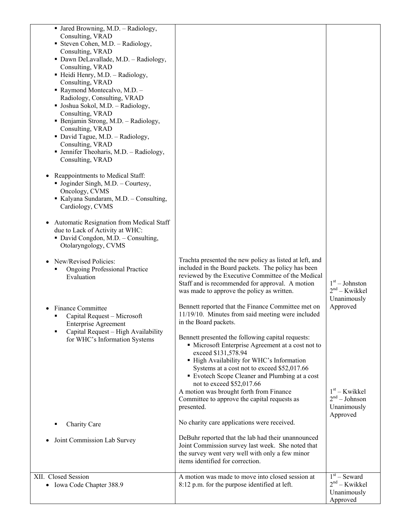| • Jared Browning, M.D. - Radiology,<br>Consulting, VRAD<br><b>Steven Cohen, M.D. - Radiology,</b><br>Consulting, VRAD<br>• Dawn DeLavallade, M.D. - Radiology,<br>Consulting, VRAD<br>• Heidi Henry, M.D. – Radiology,<br>Consulting, VRAD<br>Raymond Montecalvo, M.D. -<br>Radiology, Consulting, VRAD<br>· Joshua Sokol, M.D. - Radiology,<br>Consulting, VRAD<br>• Benjamin Strong, M.D. - Radiology,<br>Consulting, VRAD<br>• David Tague, M.D. – Radiology,<br>Consulting, VRAD<br><b>•</b> Jennifer Theoharis, M.D. $-$ Radiology,<br>Consulting, VRAD<br>Reappointments to Medical Staff:<br>• Joginder Singh, M.D. – Courtesy,<br>Oncology, CVMS |                                                                                                                                                                                                                                                                                                                                                                                                                                                                                                                                                       |                                                                           |
|----------------------------------------------------------------------------------------------------------------------------------------------------------------------------------------------------------------------------------------------------------------------------------------------------------------------------------------------------------------------------------------------------------------------------------------------------------------------------------------------------------------------------------------------------------------------------------------------------------------------------------------------------------|-------------------------------------------------------------------------------------------------------------------------------------------------------------------------------------------------------------------------------------------------------------------------------------------------------------------------------------------------------------------------------------------------------------------------------------------------------------------------------------------------------------------------------------------------------|---------------------------------------------------------------------------|
| Kalyana Sundaram, M.D. - Consulting,<br>Cardiology, CVMS                                                                                                                                                                                                                                                                                                                                                                                                                                                                                                                                                                                                 |                                                                                                                                                                                                                                                                                                                                                                                                                                                                                                                                                       |                                                                           |
| Automatic Resignation from Medical Staff<br>due to Lack of Activity at WHC:<br>• David Congdon, M.D. - Consulting,<br>Otolaryngology, CVMS                                                                                                                                                                                                                                                                                                                                                                                                                                                                                                               |                                                                                                                                                                                                                                                                                                                                                                                                                                                                                                                                                       |                                                                           |
| New/Revised Policies:<br><b>Ongoing Professional Practice</b><br>٠<br>Evaluation                                                                                                                                                                                                                                                                                                                                                                                                                                                                                                                                                                         | Trachta presented the new policy as listed at left, and<br>included in the Board packets. The policy has been<br>reviewed by the Executive Committee of the Medical<br>Staff and is recommended for approval. A motion<br>was made to approve the policy as written.                                                                                                                                                                                                                                                                                  | $1st - Johnston$<br>$2nd - Kwikkel$<br>Unanimously                        |
| <b>Finance Committee</b><br>Capital Request - Microsoft<br><b>Enterprise Agreement</b><br>Capital Request - High Availability<br>п<br>for WHC's Information Systems                                                                                                                                                                                                                                                                                                                                                                                                                                                                                      | Bennett reported that the Finance Committee met on<br>11/19/10. Minutes from said meeting were included<br>in the Board packets.<br>Bennett presented the following capital requests:<br>• Microsoft Enterprise Agreement at a cost not to<br>exceed \$131,578.94<br>- High Availability for WHC's Information<br>Systems at a cost not to exceed \$52,017.66<br>■ Evotech Scope Cleaner and Plumbing at a cost<br>not to exceed \$52,017.66<br>A motion was brought forth from Finance<br>Committee to approve the capital requests as<br>presented. | Approved<br>$1st$ – Kwikkel<br>$2nd - Johnson$<br>Unanimously<br>Approved |
| Charity Care                                                                                                                                                                                                                                                                                                                                                                                                                                                                                                                                                                                                                                             | No charity care applications were received.                                                                                                                                                                                                                                                                                                                                                                                                                                                                                                           |                                                                           |
| Joint Commission Lab Survey                                                                                                                                                                                                                                                                                                                                                                                                                                                                                                                                                                                                                              | DeBuhr reported that the lab had their unannounced<br>Joint Commission survey last week. She noted that<br>the survey went very well with only a few minor<br>items identified for correction.                                                                                                                                                                                                                                                                                                                                                        |                                                                           |
| XII. Closed Session<br>Iowa Code Chapter 388.9                                                                                                                                                                                                                                                                                                                                                                                                                                                                                                                                                                                                           | A motion was made to move into closed session at<br>8:12 p.m. for the purpose identified at left.                                                                                                                                                                                                                                                                                                                                                                                                                                                     | $1st$ – Seward<br>$2nd - Kwikkel$<br>Unanimously<br>Approved              |